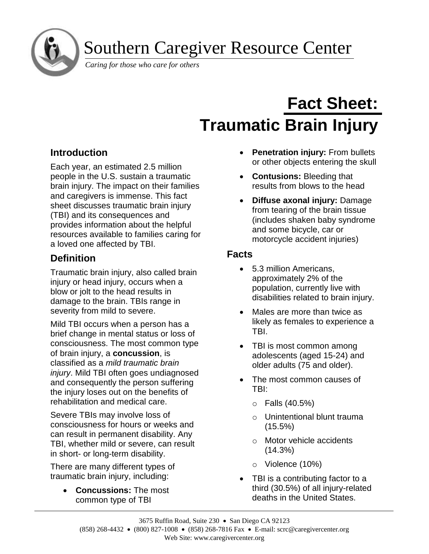Southern Caregiver Resource Center

*Caring for those who care for others*

# **Fact Sheet: Traumatic Brain Injury**

# **Introduction**

j

Each year, an estimated 2.5 million people in the U.S. sustain a traumatic brain injury. The impact on their families and caregivers is immense. This fact sheet discusses traumatic brain injury (TBI) and its consequences and provides information about the helpful resources available to families caring for a loved one affected by TBI.

# **Definition**

Traumatic brain injury, also called brain injury or head injury, occurs when a blow or jolt to the head results in damage to the brain. TBIs range in severity from mild to severe.

Mild TBI occurs when a person has a brief change in mental status or loss of consciousness. The most common type of brain injury, a **concussion**, is classified as a *mild traumatic brain injury*. Mild TBI often goes undiagnosed and consequently the person suffering the injury loses out on the benefits of rehabilitation and medical care.

Severe TBIs may involve loss of consciousness for hours or weeks and can result in permanent disability. Any TBI, whether mild or severe, can result in short- or long-term disability.

There are many different types of traumatic brain injury, including:

• **Concussions:** The most common type of TBI

- **Penetration injury:** From bullets or other objects entering the skull
- **Contusions:** Bleeding that results from blows to the head
- **Diffuse axonal injury:** Damage from tearing of the brain tissue (includes shaken baby syndrome and some bicycle, car or motorcycle accident injuries)

## **Facts**

- 5.3 million Americans, approximately 2% of the population, currently live with disabilities related to brain injury.
- Males are more than twice as likely as females to experience a TBI.
- TBI is most common among adolescents (aged 15-24) and older adults (75 and older).
- The most common causes of TBI:
	- $\circ$  Falls (40.5%)
	- o Unintentional blunt trauma (15.5%)
	- o Motor vehicle accidents (14.3%)
	- o Violence (10%)
- TBI is a contributing factor to a third (30.5%) of all injury-related deaths in the United States.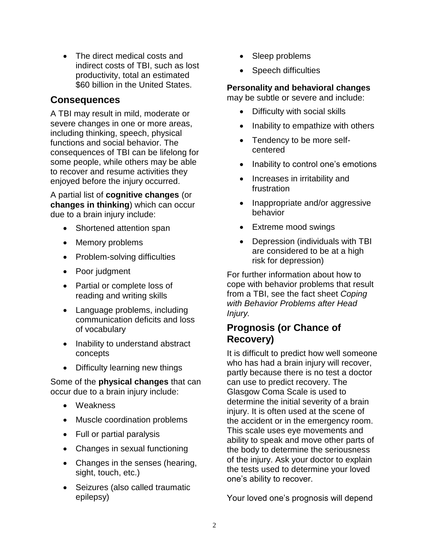• The direct medical costs and indirect costs of TBI, such as lost productivity, total an estimated \$60 billion in the United States.

# **Consequences**

A TBI may result in mild, moderate or severe changes in one or more areas. including thinking, speech, physical functions and social behavior. The consequences of TBI can be lifelong for some people, while others may be able to recover and resume activities they enjoyed before the injury occurred.

A partial list of **cognitive changes** (or **changes in thinking**) which can occur due to a brain injury include:

- Shortened attention span
- Memory problems
- Problem-solving difficulties
- Poor judgment
- Partial or complete loss of reading and writing skills
- Language problems, including communication deficits and loss of vocabulary
- Inability to understand abstract concepts
- Difficulty learning new things

Some of the **physical changes** that can occur due to a brain injury include:

- Weakness
- Muscle coordination problems
- Full or partial paralysis
- Changes in sexual functioning
- Changes in the senses (hearing, sight, touch, etc.)
- Seizures (also called traumatic epilepsy)
- Sleep problems
- Speech difficulties

## **Personality and behavioral changes**

may be subtle or severe and include:

- Difficulty with social skills
- Inability to empathize with others
- Tendency to be more selfcentered
- Inability to control one's emotions
- Increases in irritability and frustration
- Inappropriate and/or aggressive behavior
- Extreme mood swings
- Depression (individuals with TBI are considered to be at a high risk for depression)

For further information about how to cope with behavior problems that result from a TBI, see the fact sheet *Coping with Behavior Problems after Head Injury.*

# **Prognosis (or Chance of Recovery)**

It is difficult to predict how well someone who has had a brain injury will recover, partly because there is no test a doctor can use to predict recovery. The Glasgow Coma Scale is used to determine the initial severity of a brain injury. It is often used at the scene of the accident or in the emergency room. This scale uses eye movements and ability to speak and move other parts of the body to determine the seriousness of the injury. Ask your doctor to explain the tests used to determine your loved one's ability to recover.

Your loved one's prognosis will depend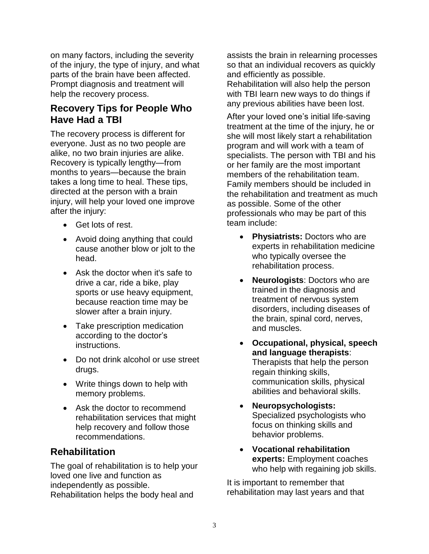on many factors, including the severity of the injury, the type of injury, and what parts of the brain have been affected. Prompt diagnosis and treatment will help the recovery process.

# **Recovery Tips for People Who Have Had a TBI**

The recovery process is different for everyone. Just as no two people are alike, no two brain injuries are alike. Recovery is typically lengthy—from months to years—because the brain takes a long time to heal. These tips, directed at the person with a brain injury, will help your loved one improve after the injury:

- Get lots of rest.
- Avoid doing anything that could cause another blow or jolt to the head.
- Ask the doctor when it's safe to drive a car, ride a bike, play sports or use heavy equipment, because reaction time may be slower after a brain injury.
- Take prescription medication according to the doctor's instructions.
- Do not drink alcohol or use street drugs.
- Write things down to help with memory problems.
- Ask the doctor to recommend rehabilitation services that might help recovery and follow those recommendations.

## **Rehabilitation**

The goal of rehabilitation is to help your loved one live and function as independently as possible. Rehabilitation helps the body heal and

assists the brain in relearning processes so that an individual recovers as quickly and efficiently as possible.

Rehabilitation will also help the person with TBI learn new ways to do things if any previous abilities have been lost.

After your loved one's initial life-saving treatment at the time of the injury, he or she will most likely start a rehabilitation program and will work with a team of specialists. The person with TBI and his or her family are the most important members of the rehabilitation team. Family members should be included in the rehabilitation and treatment as much as possible. Some of the other professionals who may be part of this team include:

- **Physiatrists:** Doctors who are experts in rehabilitation medicine who typically oversee the rehabilitation process.
- **Neurologists**: Doctors who are trained in the diagnosis and treatment of nervous system disorders, including diseases of the brain, spinal cord, nerves, and muscles.
- **Occupational, physical, speech and language therapists**: Therapists that help the person regain thinking skills, communication skills, physical abilities and behavioral skills.
- **Neuropsychologists:** Specialized psychologists who focus on thinking skills and behavior problems.
- **Vocational rehabilitation experts:** Employment coaches who help with regaining job skills.

It is important to remember that rehabilitation may last years and that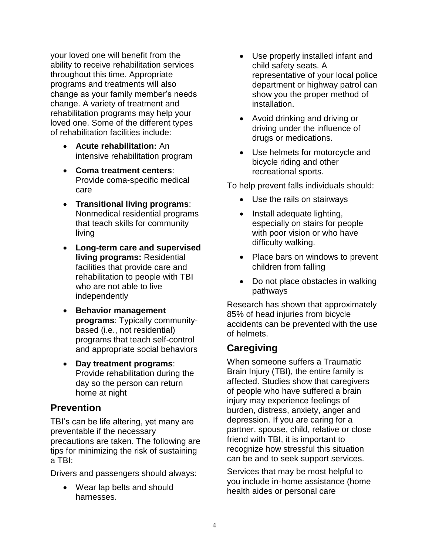your loved one will benefit from the ability to receive rehabilitation services throughout this time. Appropriate programs and treatments will also change as your family member's needs change. A variety of treatment and rehabilitation programs may help your loved one. Some of the different types of rehabilitation facilities include:

- **Acute rehabilitation:** An intensive rehabilitation program
- **Coma treatment centers**: Provide coma-specific medical care
- **Transitional living programs**: Nonmedical residential programs that teach skills for community living
- **Long-term care and supervised living programs:** Residential facilities that provide care and rehabilitation to people with TBI who are not able to live independently
- **Behavior management programs**: Typically communitybased (i.e., not residential) programs that teach self-control and appropriate social behaviors
- **Day treatment programs**: Provide rehabilitation during the day so the person can return home at night

## **Prevention**

TBI's can be life altering, yet many are preventable if the necessary precautions are taken. The following are tips for minimizing the risk of sustaining a TBI:

Drivers and passengers should always:

• Wear lap belts and should harnesses.

- Use properly installed infant and child safety seats. A representative of your local police department or highway patrol can show you the proper method of installation.
- Avoid drinking and driving or driving under the influence of drugs or medications.
- Use helmets for motorcycle and bicycle riding and other recreational sports.

To help prevent falls individuals should:

- Use the rails on stairways
- Install adequate lighting, especially on stairs for people with poor vision or who have difficulty walking.
- Place bars on windows to prevent children from falling
- Do not place obstacles in walking pathways

Research has shown that approximately 85% of head injuries from bicycle accidents can be prevented with the use of helmets.

# **Caregiving**

When someone suffers a Traumatic Brain Injury (TBI), the entire family is affected. Studies show that caregivers of people who have suffered a brain injury may experience feelings of burden, distress, anxiety, anger and depression. If you are caring for a partner, spouse, child, relative or close friend with TBI, it is important to recognize how stressful this situation can be and to seek support services.

Services that may be most helpful to you include in-home assistance (home health aides or personal care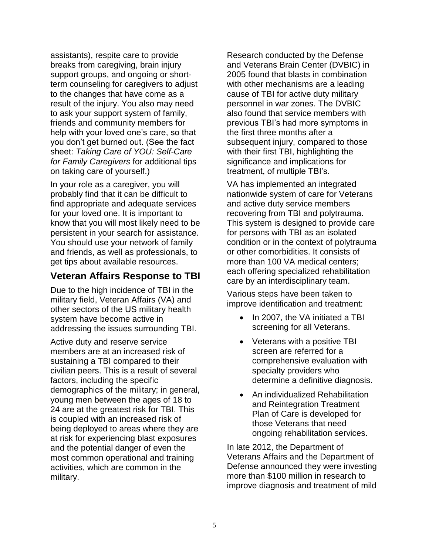assistants), respite care to provide breaks from caregiving, brain injury support groups, and ongoing or shortterm counseling for caregivers to adjust to the changes that have come as a result of the injury. You also may need to ask your support system of family, friends and community members for help with your loved one's care, so that you don't get burned out. (See the fact sheet: *Taking Care of YOU: Self-Care for Family Caregivers* for additional tips on taking care of yourself.)

In your role as a caregiver, you will probably find that it can be difficult to find appropriate and adequate services for your loved one. It is important to know that you will most likely need to be persistent in your search for assistance. You should use your network of family and friends, as well as professionals, to get tips about available resources.

# **Veteran Affairs Response to TBI**

Due to the high incidence of TBI in the military field, Veteran Affairs (VA) and other sectors of the US military health system have become active in addressing the issues surrounding TBI.

Active duty and reserve service members are at an increased risk of sustaining a TBI compared to their civilian peers. This is a result of several factors, including the specific demographics of the military; in general, young men between the ages of 18 to 24 are at the greatest risk for TBI. This is coupled with an increased risk of being deployed to areas where they are at risk for experiencing blast exposures and the potential danger of even the most common operational and training activities, which are common in the military.

Research conducted by the Defense and Veterans Brain Center (DVBIC) in 2005 found that blasts in combination with other mechanisms are a leading cause of TBI for active duty military personnel in war zones. The DVBIC also found that service members with previous TBI's had more symptoms in the first three months after a subsequent injury, compared to those with their first TBI, highlighting the significance and implications for treatment, of multiple TBI's.

VA has implemented an integrated nationwide system of care for Veterans and active duty service members recovering from TBI and polytrauma. This system is designed to provide care for persons with TBI as an isolated condition or in the context of polytrauma or other comorbidities. It consists of more than 100 VA medical centers; each offering specialized rehabilitation care by an interdisciplinary team.

Various steps have been taken to improve identification and treatment:

- In 2007, the VA initiated a TBI screening for all Veterans.
- Veterans with a positive TBI screen are referred for a comprehensive evaluation with specialty providers who determine a definitive diagnosis.
- An individualized Rehabilitation and Reintegration Treatment Plan of Care is developed for those Veterans that need ongoing rehabilitation services.

In late 2012, the Department of Veterans Affairs and the Department of Defense announced they were investing more than \$100 million in research to improve diagnosis and treatment of mild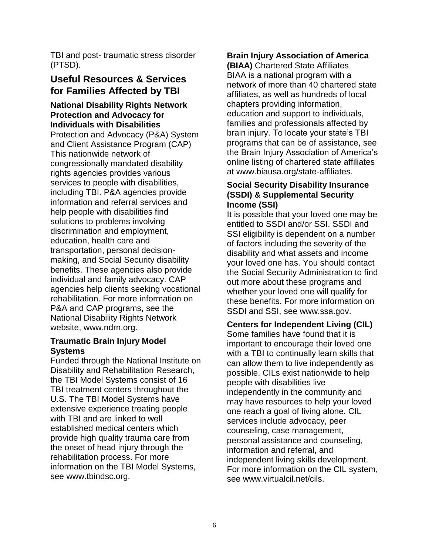TBI and post- traumatic stress disorder (PTSD).

# **Useful Resources & Services for Families Affected by TBI**

## **National Disability Rights Network Protection and Advocacy for Individuals with Disabilities**

Protection and Advocacy (P&A) System and Client Assistance Program (CAP) This nationwide network of congressionally mandated disability rights agencies provides various services to people with disabilities, including TBI. P&A agencies provide information and referral services and help people with disabilities find solutions to problems involving discrimination and employment, education, health care and transportation, personal decisionmaking, and Social Security disability benefits. These agencies also provide individual and family advocacy. CAP agencies help clients seeking vocational rehabilitation. For more information on P&A and CAP programs, see the National Disability Rights Network website, [www.ndrn.org.](http://www.ndrn.org/)

#### **[Traumatic Brain Injury Model](https://www.tbindsc.org/)  [Systems](https://www.tbindsc.org/)**

Funded through the National Institute on Disability and Rehabilitation Research, the TBI Model Systems consist of 16 TBI treatment centers throughout the U.S. The TBI Model Systems have extensive experience treating people with TBI and are linked to well established medical centers which provide high quality trauma care from the onset of head injury through the rehabilitation process. For more information on the TBI Model Systems, see [www.tbindsc.org.](http://www.tbindsc.org/)

## **[Brain Injury Association of America](http://www.biausa.org/)**

**[\(BIAA\)](http://www.biausa.org/)** Chartered State Affiliates BIAA is a national program with a network of more than 40 chartered state affiliates, as well as hundreds of local chapters providing information, education and support to individuals, families and professionals affected by brain injury. To locate your state's TBI programs that can be of assistance, see the Brain Injury Association of America's online listing of chartered state affiliates at [www.biausa.org/state-affiliates.](http://www.biausa.org/state-affiliates)

#### **[Social Security Disability Insurance](http://www.ssa.gov/)  [\(SSDI\) & Supplemental Security](http://www.ssa.gov/)  [Income \(SSI\)](http://www.ssa.gov/)**

It is possible that your loved one may be entitled to SSDI and/or SSI. SSDI and SSI eligibility is dependent on a number of factors including the severity of the disability and what assets and income your loved one has. You should contact the Social Security Administration to find out more about these programs and whether your loved one will qualify for these benefits. For more information on SSDI and SSI, see [www.ssa.gov.](http://www.ssa.gov/)

#### **[Centers for Independent Living \(CIL\)](http://www.virtualcil.net/cils)**

Some families have found that it is important to encourage their loved one with a TBI to continually learn skills that can allow them to live independently as possible. CILs exist nationwide to help people with disabilities live independently in the community and may have resources to help your loved one reach a goal of living alone. CIL services include advocacy, peer counseling, case management, personal assistance and counseling, information and referral, and independent living skills development. For more information on the CIL system, see [www.virtualcil.net/cils.](http://www.virtualcil.net/cils)